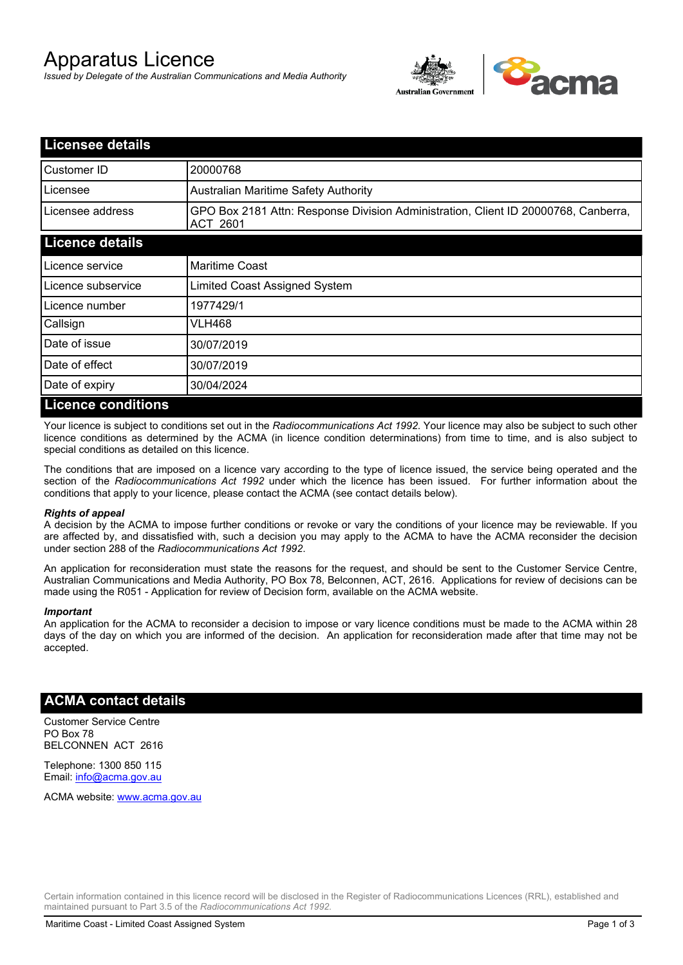# Apparatus Licence

*Issued by Delegate of the Australian Communications and Media Authority*



| <b>Licensee details</b>   |                                                                                                       |
|---------------------------|-------------------------------------------------------------------------------------------------------|
| Customer ID               | 20000768                                                                                              |
| Licensee                  | <b>Australian Maritime Safety Authority</b>                                                           |
| Licensee address          | GPO Box 2181 Attn: Response Division Administration, Client ID 20000768, Canberra,<br><b>ACT 2601</b> |
| <b>Licence details</b>    |                                                                                                       |
| Licence service           | <b>Maritime Coast</b>                                                                                 |
| Licence subservice        | Limited Coast Assigned System                                                                         |
| Licence number            | 1977429/1                                                                                             |
| Callsign                  | VLH468                                                                                                |
| Date of issue             | 30/07/2019                                                                                            |
| Date of effect            | 30/07/2019                                                                                            |
| Date of expiry            | 30/04/2024                                                                                            |
| <b>Licence conditions</b> |                                                                                                       |

Your licence is subject to conditions set out in the *Radiocommunications Act 1992*. Your licence may also be subject to such other licence conditions as determined by the ACMA (in licence condition determinations) from time to time, and is also subject to special conditions as detailed on this licence.

The conditions that are imposed on a licence vary according to the type of licence issued, the service being operated and the section of the *Radiocommunications Act 1992* under which the licence has been issued. For further information about the conditions that apply to your licence, please contact the ACMA (see contact details below).

### *Rights of appeal*

A decision by the ACMA to impose further conditions or revoke or vary the conditions of your licence may be reviewable. If you are affected by, and dissatisfied with, such a decision you may apply to the ACMA to have the ACMA reconsider the decision under section 288 of the *Radiocommunications Act 1992*.

An application for reconsideration must state the reasons for the request, and should be sent to the Customer Service Centre, Australian Communications and Media Authority, PO Box 78, Belconnen, ACT, 2616. Applications for review of decisions can be made using the R051 - Application for review of Decision form, available on the ACMA website.

#### *Important*

An application for the ACMA to reconsider a decision to impose or vary licence conditions must be made to the ACMA within 28 days of the day on which you are informed of the decision. An application for reconsideration made after that time may not be accepted.

### **ACMA contact details**

Customer Service Centre PO Box 78 BELCONNEN ACT 2616

Telephone: 1300 850 115 Email: info@acma.gov.au

ACMA website: www.acma.gov.au

Certain information contained in this licence record will be disclosed in the Register of Radiocommunications Licences (RRL), established and maintained pursuant to Part 3.5 of the *Radiocommunications Act 1992.*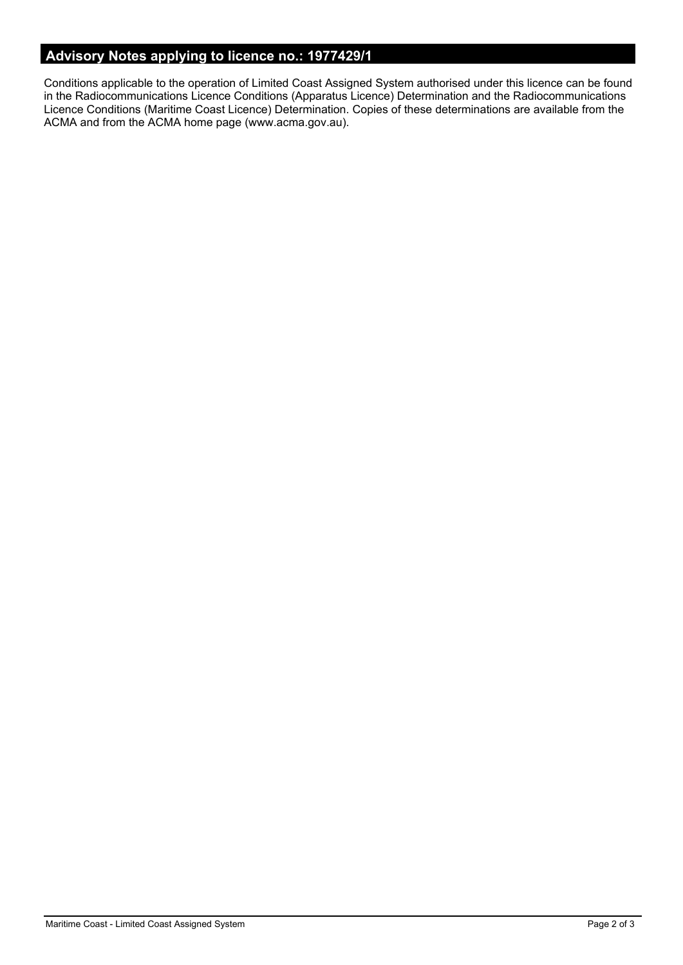# **Advisory Notes applying to licence no.: 1977429/1**

Conditions applicable to the operation of Limited Coast Assigned System authorised under this licence can be found in the Radiocommunications Licence Conditions (Apparatus Licence) Determination and the Radiocommunications Licence Conditions (Maritime Coast Licence) Determination. Copies of these determinations are available from the ACMA and from the ACMA home page (www.acma.gov.au).